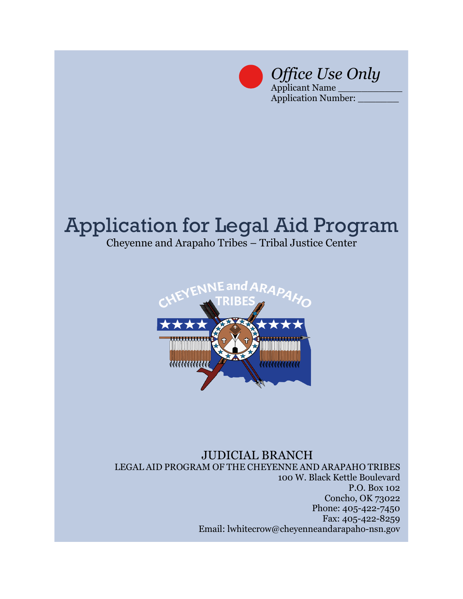

*Office Use Only* Applicant Name \_\_\_\_\_\_\_\_\_\_\_

Application Number:

## Application for Legal Aid Program

Cheyenne and Arapaho Tribes – Tribal Justice Center



## JUDICIAL BRANCH LEGAL AID PROGRAM OF THE CHEYENNE AND ARAPAHO TRIBES 100 W. Black Kettle Boulevard P.O. Box 102 Concho, OK 73022 Phone: 405-422-7450 Fax: 405-422-8259 Email: lwhitecrow@cheyenneandarapaho-nsn.gov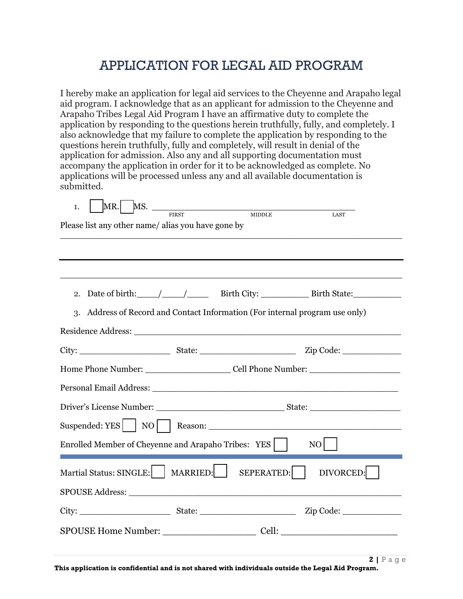## APPLICATION FOR LEGAL AID PROGRAM

I hereby make an application for legal aid services to the Cheyenne and Arapaho legal aid program. I acknowledge that as an applicant for admission to the Cheyenne and Arapaho Tribes Legal Aid Program I have an affirmative duty to complete the application by responding to the questions herein truthfully, fully, and completely. I also acknowledge that my failure to complete the application by responding to the questions herein truthfully, fully and completely, will result in denial of the application for admission. Also any and all supporting documentation must accompany the application in order for it to be acknowledged as complete. No applications will be processed unless any and all available documentation is submitted.

| 1. | $MR.$ MS. $\frac{MS}{FIRST}$                       |          | <b>MIDDLE</b>                                                                                                                                                                                                                  |                                                                              |
|----|----------------------------------------------------|----------|--------------------------------------------------------------------------------------------------------------------------------------------------------------------------------------------------------------------------------|------------------------------------------------------------------------------|
|    | Please list any other name/ alias you have gone by |          |                                                                                                                                                                                                                                | LAST                                                                         |
|    |                                                    |          |                                                                                                                                                                                                                                |                                                                              |
|    |                                                    |          |                                                                                                                                                                                                                                |                                                                              |
|    |                                                    |          |                                                                                                                                                                                                                                |                                                                              |
| 2. |                                                    |          |                                                                                                                                                                                                                                |                                                                              |
|    |                                                    |          |                                                                                                                                                                                                                                | 3. Address of Record and Contact Information (For internal program use only) |
|    |                                                    |          |                                                                                                                                                                                                                                |                                                                              |
|    |                                                    |          |                                                                                                                                                                                                                                |                                                                              |
|    |                                                    |          |                                                                                                                                                                                                                                |                                                                              |
|    |                                                    |          |                                                                                                                                                                                                                                |                                                                              |
|    |                                                    |          |                                                                                                                                                                                                                                |                                                                              |
|    |                                                    |          |                                                                                                                                                                                                                                |                                                                              |
|    |                                                    |          |                                                                                                                                                                                                                                |                                                                              |
|    |                                                    |          | Enrolled Member of Cheyenne and Arapaho Tribes: YES                                                                                                                                                                            | NO                                                                           |
|    | Martial Status: SINGLE:                            | MARRIED: | SEPERATED:                                                                                                                                                                                                                     | DIVORCED:                                                                    |
|    |                                                    |          | SPOUSE Address: The Second Second Second Second Second Second Second Second Second Second Second Second Second Second Second Second Second Second Second Second Second Second Second Second Second Second Second Second Second |                                                                              |
|    |                                                    |          |                                                                                                                                                                                                                                |                                                                              |
|    |                                                    |          |                                                                                                                                                                                                                                |                                                                              |
|    |                                                    |          |                                                                                                                                                                                                                                |                                                                              |
|    |                                                    |          |                                                                                                                                                                                                                                |                                                                              |
|    |                                                    |          |                                                                                                                                                                                                                                | $2IP$ aqe                                                                    |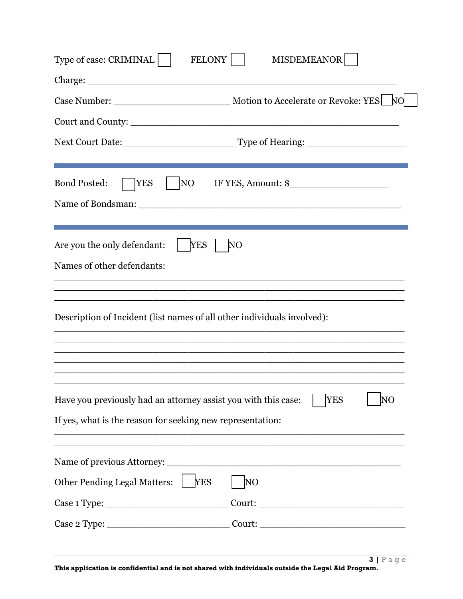| NO<br><b>YES</b><br>IF YES, Amount: \$<br><b>YES</b><br>NΟ<br>ΝO<br><b>YES</b><br><u> 1989 - Johann John Harry Harry Harry Harry Harry Harry Harry Harry Harry Harry Harry Harry Harry Harry Harry</u><br><b>YES</b><br>N <sub>O</sub> | <b>FELONY</b><br>MISDEMEANOR<br>Type of case: CRIMINAL                                                                       |  |  |  |  |  |  |  |  |
|----------------------------------------------------------------------------------------------------------------------------------------------------------------------------------------------------------------------------------------|------------------------------------------------------------------------------------------------------------------------------|--|--|--|--|--|--|--|--|
|                                                                                                                                                                                                                                        |                                                                                                                              |  |  |  |  |  |  |  |  |
|                                                                                                                                                                                                                                        |                                                                                                                              |  |  |  |  |  |  |  |  |
|                                                                                                                                                                                                                                        |                                                                                                                              |  |  |  |  |  |  |  |  |
|                                                                                                                                                                                                                                        |                                                                                                                              |  |  |  |  |  |  |  |  |
|                                                                                                                                                                                                                                        | <b>Bond Posted:</b>                                                                                                          |  |  |  |  |  |  |  |  |
|                                                                                                                                                                                                                                        | Are you the only defendant:<br>Names of other defendants:                                                                    |  |  |  |  |  |  |  |  |
|                                                                                                                                                                                                                                        | Description of Incident (list names of all other individuals involved):                                                      |  |  |  |  |  |  |  |  |
|                                                                                                                                                                                                                                        | Have you previously had an attorney assist you with this case:<br>If yes, what is the reason for seeking new representation: |  |  |  |  |  |  |  |  |
|                                                                                                                                                                                                                                        |                                                                                                                              |  |  |  |  |  |  |  |  |
|                                                                                                                                                                                                                                        | <b>Other Pending Legal Matters:</b>                                                                                          |  |  |  |  |  |  |  |  |
|                                                                                                                                                                                                                                        |                                                                                                                              |  |  |  |  |  |  |  |  |
|                                                                                                                                                                                                                                        | Case 2 Type: _________________________________Court: ____________________________                                            |  |  |  |  |  |  |  |  |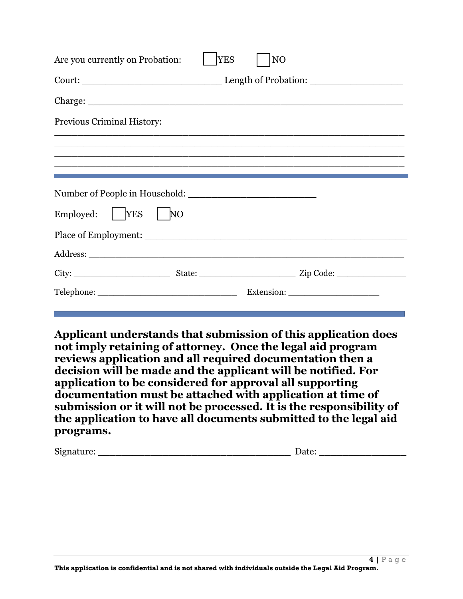| Employed:<br><b>THE YES</b>     | N <sub>O</sub> |            |                                                                                                                       |
|---------------------------------|----------------|------------|-----------------------------------------------------------------------------------------------------------------------|
|                                 |                |            |                                                                                                                       |
|                                 |                |            |                                                                                                                       |
|                                 |                |            |                                                                                                                       |
|                                 |                |            | <u> 1989 - Johann Stoff, deutscher Stoff, der Stoff, der Stoff, der Stoff, der Stoff, der Stoff, der Stoff, der S</u> |
| Previous Criminal History:      |                |            |                                                                                                                       |
|                                 |                |            |                                                                                                                       |
|                                 |                |            |                                                                                                                       |
| Are you currently on Probation: |                | <b>YES</b> | N <sub>O</sub>                                                                                                        |

**Applicant understands that submission of this application does not imply retaining of attorney. Once the legal aid program reviews application and all required documentation then a decision will be made and the applicant will be notified. For application to be considered for approval all supporting documentation must be attached with application at time of submission or it will not be processed. It is the responsibility of the application to have all documents submitted to the legal aid programs.** 

Signature: \_\_\_\_\_\_\_\_\_\_\_\_\_\_\_\_\_\_\_\_\_\_\_\_\_\_\_\_\_\_\_\_\_ Date: \_\_\_\_\_\_\_\_\_\_\_\_\_\_\_